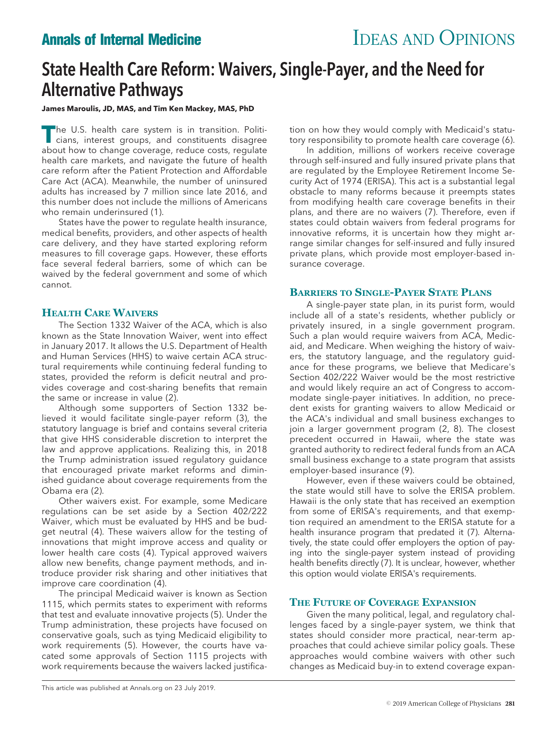# **Annals of Internal Medicine IDEAS AND OPINIONS**

# State Health Care Reform: Waivers, Single-Payer, and the Need for Alternative Pathways

## **James Maroulis, JD, MAS, and Tim Ken Mackey, MAS, PhD**

The U.S. health care system is in transition. Politicians, interest groups, and constituents disagree about how to change coverage, reduce costs, regulate health care markets, and navigate the future of health care reform after the Patient Protection and Affordable Care Act (ACA). Meanwhile, the number of uninsured adults has increased by 7 million since late 2016, and this number does not include the millions of Americans who remain underinsured (1).

States have the power to regulate health insurance, medical benefits, providers, and other aspects of health care delivery, and they have started exploring reform measures to fill coverage gaps. However, these efforts face several federal barriers, some of which can be waived by the federal government and some of which cannot.

## **HEALTH CARE WAIVERS**

The Section 1332 Waiver of the ACA, which is also known as the State Innovation Waiver, went into effect in January 2017. It allows the U.S. Department of Health and Human Services (HHS) to waive certain ACA structural requirements while continuing federal funding to states, provided the reform is deficit neutral and provides coverage and cost-sharing benefits that remain the same or increase in value (2).

Although some supporters of Section 1332 believed it would facilitate single-payer reform (3), the statutory language is brief and contains several criteria that give HHS considerable discretion to interpret the law and approve applications. Realizing this, in 2018 the Trump administration issued regulatory guidance that encouraged private market reforms and diminished guidance about coverage requirements from the Obama era (2).

Other waivers exist. For example, some Medicare regulations can be set aside by a Section 402/222 Waiver, which must be evaluated by HHS and be budget neutral (4). These waivers allow for the testing of innovations that might improve access and quality or lower health care costs (4). Typical approved waivers allow new benefits, change payment methods, and introduce provider risk sharing and other initiatives that improve care coordination (4).

The principal Medicaid waiver is known as Section 1115, which permits states to experiment with reforms that test and evaluate innovative projects (5). Under the Trump administration, these projects have focused on conservative goals, such as tying Medicaid eligibility to work requirements (5). However, the courts have vacated some approvals of Section 1115 projects with work requirements because the waivers lacked justification on how they would comply with Medicaid's statutory responsibility to promote health care coverage (6).

In addition, millions of workers receive coverage through self-insured and fully insured private plans that are regulated by the Employee Retirement Income Security Act of 1974 (ERISA). This act is a substantial legal obstacle to many reforms because it preempts states from modifying health care coverage benefits in their plans, and there are no waivers (7). Therefore, even if states could obtain waivers from federal programs for innovative reforms, it is uncertain how they might arrange similar changes for self-insured and fully insured private plans, which provide most employer-based insurance coverage.

## **BARRIERS TO SINGLE-PAYER STATE PLANS**

A single-payer state plan, in its purist form, would include all of a state's residents, whether publicly or privately insured, in a single government program. Such a plan would require waivers from ACA, Medicaid, and Medicare. When weighing the history of waivers, the statutory language, and the regulatory guidance for these programs, we believe that Medicare's Section 402/222 Waiver would be the most restrictive and would likely require an act of Congress to accommodate single-payer initiatives. In addition, no precedent exists for granting waivers to allow Medicaid or the ACA's individual and small business exchanges to join a larger government program (2, 8). The closest precedent occurred in Hawaii, where the state was granted authority to redirect federal funds from an ACA small business exchange to a state program that assists employer-based insurance (9).

However, even if these waivers could be obtained, the state would still have to solve the ERISA problem. Hawaii is the only state that has received an exemption from some of ERISA's requirements, and that exemption required an amendment to the ERISA statute for a health insurance program that predated it (7). Alternatively, the state could offer employers the option of paying into the single-payer system instead of providing health benefits directly (7). It is unclear, however, whether this option would violate ERISA's requirements.

# **THE FUTURE OF COVERAGE EXPANSION**

Given the many political, legal, and regulatory challenges faced by a single-payer system, we think that states should consider more practical, near-term approaches that could achieve similar policy goals. These approaches would combine waivers with other such changes as Medicaid buy-in to extend coverage expan-

This article was published at [Annals.org](http://www.annals.org) on 23 July 2019.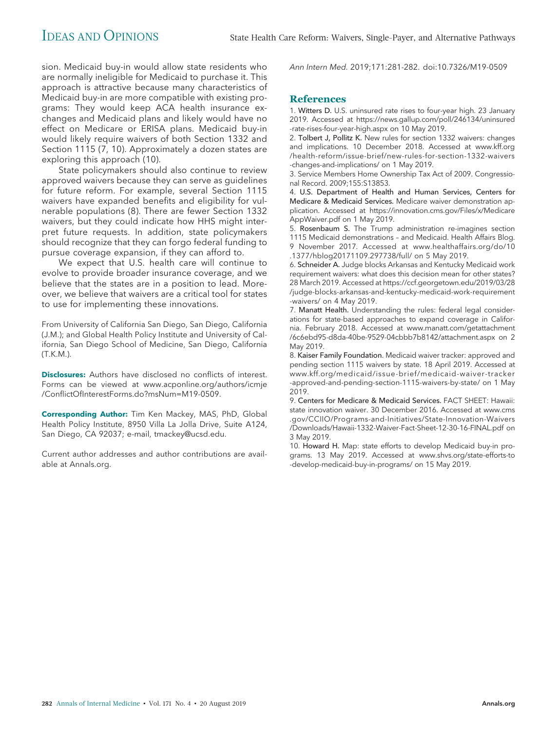sion. Medicaid buy-in would allow state residents who are normally ineligible for Medicaid to purchase it. This approach is attractive because many characteristics of Medicaid buy-in are more compatible with existing programs: They would keep ACA health insurance exchanges and Medicaid plans and likely would have no effect on Medicare or ERISA plans. Medicaid buy-in would likely require waivers of both Section 1332 and Section 1115 (7, 10). Approximately a dozen states are exploring this approach (10).

State policymakers should also continue to review approved waivers because they can serve as guidelines for future reform. For example, several Section 1115 waivers have expanded benefits and eligibility for vulnerable populations (8). There are fewer Section 1332 waivers, but they could indicate how HHS might interpret future requests. In addition, state policymakers should recognize that they can forgo federal funding to pursue coverage expansion, if they can afford to.

We expect that U.S. health care will continue to evolve to provide broader insurance coverage, and we believe that the states are in a position to lead. Moreover, we believe that waivers are a critical tool for states to use for implementing these innovations.

From University of California San Diego, San Diego, California (J.M.); and Global Health Policy Institute and University of California, San Diego School of Medicine, San Diego, California (T.K.M.).

**Disclosures:** Authors have disclosed no conflicts of interest. Forms can be viewed at [www.acponline.org/authors/icmje](http://www.acponline.org/authors/icmje/ConflictOfInterestForms.do?msNum=M19-0509) [/ConflictOfInterestForms.do?msNum=M19-0509.](http://www.acponline.org/authors/icmje/ConflictOfInterestForms.do?msNum=M19-0509)

**Corresponding Author:** Tim Ken Mackey, MAS, PhD, Global Health Policy Institute, 8950 Villa La Jolla Drive, Suite A124, San Diego, CA 92037; e-mail, [tmackey@ucsd.edu.](mailto:tmackey@ucsd.edu)

Current author addresses and author contributions are available at [Annals.org.](http://www.annals.org)

Ann Intern Med. 2019;171:281-282. doi:10.7326/M19-0509

### **References**

1. Witters D. U.S. uninsured rate rises to four-year high. 23 January 2019. Accessed at [https://news.gallup.com/poll/246134/uninsured](https://news.gallup.com/poll/246134/uninsured-rate-rises-four-year-high.aspx) [-rate-rises-four-year-high.aspx](https://news.gallup.com/poll/246134/uninsured-rate-rises-four-year-high.aspx) on 10 May 2019.

2. Tolbert J, Pollitz K. New rules for section 1332 waivers: changes and implications. 10 December 2018. Accessed at [www.kff.org](http://www.kff.org/health-reform/issue-brief/new-rules-for-section-1332-waivers-changes-and-implications/) [/health-reform/issue-brief/new-rules-for-section-1332-waivers](http://www.kff.org/health-reform/issue-brief/new-rules-for-section-1332-waivers-changes-and-implications/) [-changes-and-implications/](http://www.kff.org/health-reform/issue-brief/new-rules-for-section-1332-waivers-changes-and-implications/) on 1 May 2019.

3. Service Members Home Ownership Tax Act of 2009. Congressional Record. 2009;155:S13853.

4. U.S. Department of Health and Human Services, Centers for Medicare & Medicaid Services. Medicare waiver demonstration application. Accessed at [https://innovation.cms.gov/Files/x/Medicare](https://innovation.cms.gov/Files/x/MedicareAppWaiver.pdf) [AppWaiver.pdf](https://innovation.cms.gov/Files/x/MedicareAppWaiver.pdf) on 1 May 2019.

5. Rosenbaum S. The Trump administration re-imagines section 1115 Medicaid demonstrations – and Medicaid. Health Affairs Blog. 9 November 2017. Accessed at [www.healthaffairs.org/do/10](http://www.healthaffairs.org/do/10.1377/hblog20171109.297738/full/) [.1377/hblog20171109.297738/full/](http://www.healthaffairs.org/do/10.1377/hblog20171109.297738/full/) on 5 May 2019.

6. Schneider A. Judge blocks Arkansas and Kentucky Medicaid work requirement waivers: what does this decision mean for other states? 28 March 2019. Accessed at [https://ccf.georgetown.edu/2019/03/28](https://ccf.georgetown.edu/2019/03/28/judge-blocks-arkansas-and-kentucky-medicaid-work-requirement-waivers/) [/judge-blocks-arkansas-and-kentucky-medicaid-work-requirement](https://ccf.georgetown.edu/2019/03/28/judge-blocks-arkansas-and-kentucky-medicaid-work-requirement-waivers/) [-waivers/](https://ccf.georgetown.edu/2019/03/28/judge-blocks-arkansas-and-kentucky-medicaid-work-requirement-waivers/) on 4 May 2019.

7. Manatt Health. Understanding the rules: federal legal considerations for state-based approaches to expand coverage in California. February 2018. Accessed at [www.manatt.com/getattachment](http://www.manatt.com/getattachment/6c6ebd95-d8da-40be-9529-04cbbb7b8142/attachment.aspx) [/6c6ebd95-d8da-40be-9529-04cbbb7b8142/attachment.aspx](http://www.manatt.com/getattachment/6c6ebd95-d8da-40be-9529-04cbbb7b8142/attachment.aspx) on 2 May 2019.

8. Kaiser Family Foundation. Medicaid waiver tracker: approved and pending section 1115 waivers by state. 18 April 2019. Accessed at [www.kff.org/medicaid/issue-brief/medicaid-waiver-tracker](http://www.kff.org/medicaid/issue-brief/medicaid-waiver-tracker-approved-and-pending-section-1115-waivers-by-state/) [-approved-and-pending-section-1115-waivers-by-state/](http://www.kff.org/medicaid/issue-brief/medicaid-waiver-tracker-approved-and-pending-section-1115-waivers-by-state/) on 1 May 2019.

9. Centers for Medicare & Medicaid Services. FACT SHEET: Hawaii: state innovation waiver. 30 December 2016. Accessed at [www.cms](http://www.cms.gov/CCIIO/Programs-and-Initiatives/State-Innovation-Waivers/Downloads/Hawaii-1332-Waiver-Fact-Sheet-12-30-16-FINAL.pdf) [.gov/CCIIO/Programs-and-Initiatives/State-Innovation-Waivers](http://www.cms.gov/CCIIO/Programs-and-Initiatives/State-Innovation-Waivers/Downloads/Hawaii-1332-Waiver-Fact-Sheet-12-30-16-FINAL.pdf) [/Downloads/Hawaii-1332-Waiver-Fact-Sheet-12-30-16-FINAL.pdf](http://www.cms.gov/CCIIO/Programs-and-Initiatives/State-Innovation-Waivers/Downloads/Hawaii-1332-Waiver-Fact-Sheet-12-30-16-FINAL.pdf) on 3 May 2019.

10. Howard H. Map: state efforts to develop Medicaid buy-in programs. 13 May 2019. Accessed at [www.shvs.org/state-efforts-to](http://www.shvs.org/state-efforts-to-develop-medicaid-buy-in-programs/) [-develop-medicaid-buy-in-programs/](http://www.shvs.org/state-efforts-to-develop-medicaid-buy-in-programs/) on 15 May 2019.